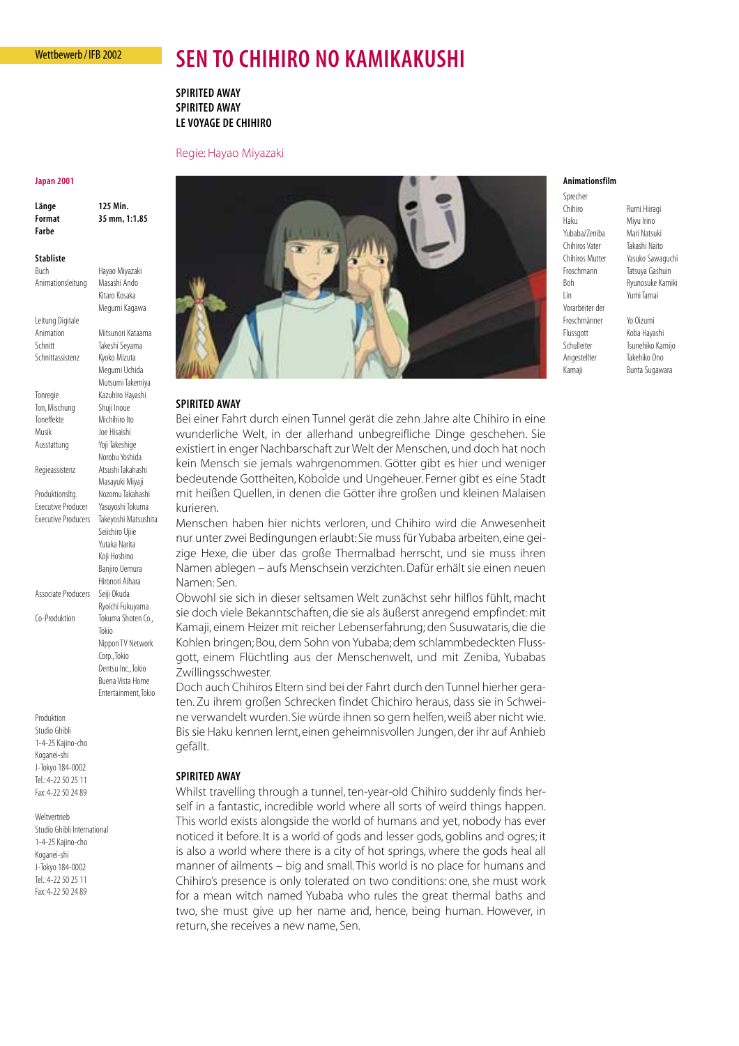## Wettbewerb / IFB 2002

# **SEN TO CHIHIRO NO KAMIKAKUSHI**

**SPIRITED AWAY SPIRITED AWAY LE VOYAGE DE CHIHIRO**

## Regie: Hayao Miyazaki

#### **Japan 2001**

**Länge 125 Min. Format 35 mm, 1:1.85 Farbe**

**Stabliste**

Buch Hayao Miyazaki Animationsleitung Masashi Ando Kitaro Kosaka

Megumi Kagawa

Leitung Digitale Animation Mitsunori Kataama Schnitt Takeshi Seyama Schnittassistenz Kyoko Mizuta Megumi Uchida Mutsumi Takemiya Tonregie Kazuhiro Hayashi Ton, Mischung Shuji Inoue Toneffekte Michihiro Ito Musik Joe Hisaishi Ausstattung Yoji Takeshige Norobu Yoshida Regieassistenz Atsushi Takahashi Masayuki Miyaji Produktionsltg. Nozomu Takahashi Executive Producer Yasuyoshi Tokuma Executive Producers Takeyoshi Matsushita Seiichiro Ujiie Associate Producers

Yutaka Narita Koji Hoshino Banjiro Uemura Hironori Aihara Ryoichi Fukuyama Co-Produktion Tokuma Shoten Co., Tokio Nippon TV Network Corp.,Tokio

> Dentsu Inc.,Tokio Buena Vista Home Entertainment,Tokio

Produktion Studio Ghibli 1-4-25 Kajino-cho Koganei-shi J-Tokyo 184-0002 Tel.: 4-22 50 25 11 Fax: 4-22 50 24 89

Weltvertrieb Studio Ghibli International 1-4-25 Kajino-cho Koganei-shi J-Tokyo 184-0002 Tel.: 4-22 50 25 11 Fax: 4-22 50 24 89



# **SPIRITED AWAY**

Bei einer Fahrt durch einen Tunnel gerät die zehn Jahre alte Chihiro in eine wunderliche Welt, in der allerhand unbegreifliche Dinge geschehen. Sie existiert in enger Nachbarschaft zur Welt der Menschen, und doch hat noch kein Mensch sie jemals wahrgenommen. Götter gibt es hier und weniger bedeutende Gottheiten, Kobolde und Ungeheuer. Ferner gibt es eine Stadt mit heißen Quellen, in denen die Götter ihre großen und kleinen Malaisen kurieren.

Menschen haben hier nichts verloren, und Chihiro wird die Anwesenheit nur unter zwei Bedingungen erlaubt:Sie muss für Yubaba arbeiten, eine geizige Hexe, die über das große Thermalbad herrscht, und sie muss ihren Namen ablegen – aufs Menschsein verzichten. Dafür erhält sie einen neuen Namen: Sen.

Obwohl sie sich in dieser seltsamen Welt zunächst sehr hilflos fühlt, macht sie doch viele Bekanntschaften, die sie als äußerst anregend empfindet: mit Kamaji, einem Heizer mit reicher Lebenserfahrung; den Susuwataris, die die Kohlen bringen; Bou, dem Sohn von Yubaba; dem schlammbedeckten Flussgott, einem Flüchtling aus der Menschenwelt, und mit Zeniba, Yubabas Zwillingsschwester.

Doch auch Chihiros Eltern sind bei der Fahrt durch den Tunnel hierher geraten. Zu ihrem großen Schrecken findet Chichiro heraus, dass sie in Schweine verwandelt wurden. Sie würde ihnen so gern helfen, weiß aber nicht wie. Bis sie Haku kennen lernt, einen geheimnisvollen Jungen, der ihr auf Anhieb gefällt.

## **SPIRITED AWAY**

Whilst travelling through a tunnel, ten-year-old Chihiro suddenly finds herself in a fantastic, incredible world where all sorts of weird things happen. This world exists alongside the world of humans and yet, nobody has ever noticed it before. It is a world of gods and lesser gods, goblins and ogres; it is also a world where there is a city of hot springs, where the gods heal all manner of ailments – big and small. This world is no place for humans and Chihiro's presence is only tolerated on two conditions: one, she must work for a mean witch named Yubaba who rules the great thermal baths and two, she must give up her name and, hence, being human. However, in return, she receives a new name, Sen.

#### **Animationsfilm**

Sprecher Chihiro Rumi Hiiragi Haku Miyu Irino Yubaba/Zeniba Mari Natsuki Chihiros Vater Takashi Naito Froschmann Tatsuya Gashuin Lin Yumi Tamai Vorarbeiter der Froschmänner Yo Oizumi Flussgott Koba Hayashi Angestellter Takehiko Ono

Chihiros Mutter Yasuko Sawaguchi Boh Ryunosuke Kamiki

Schulleiter Tsunehiko Kamijo Kamaji Bunta Sugawara